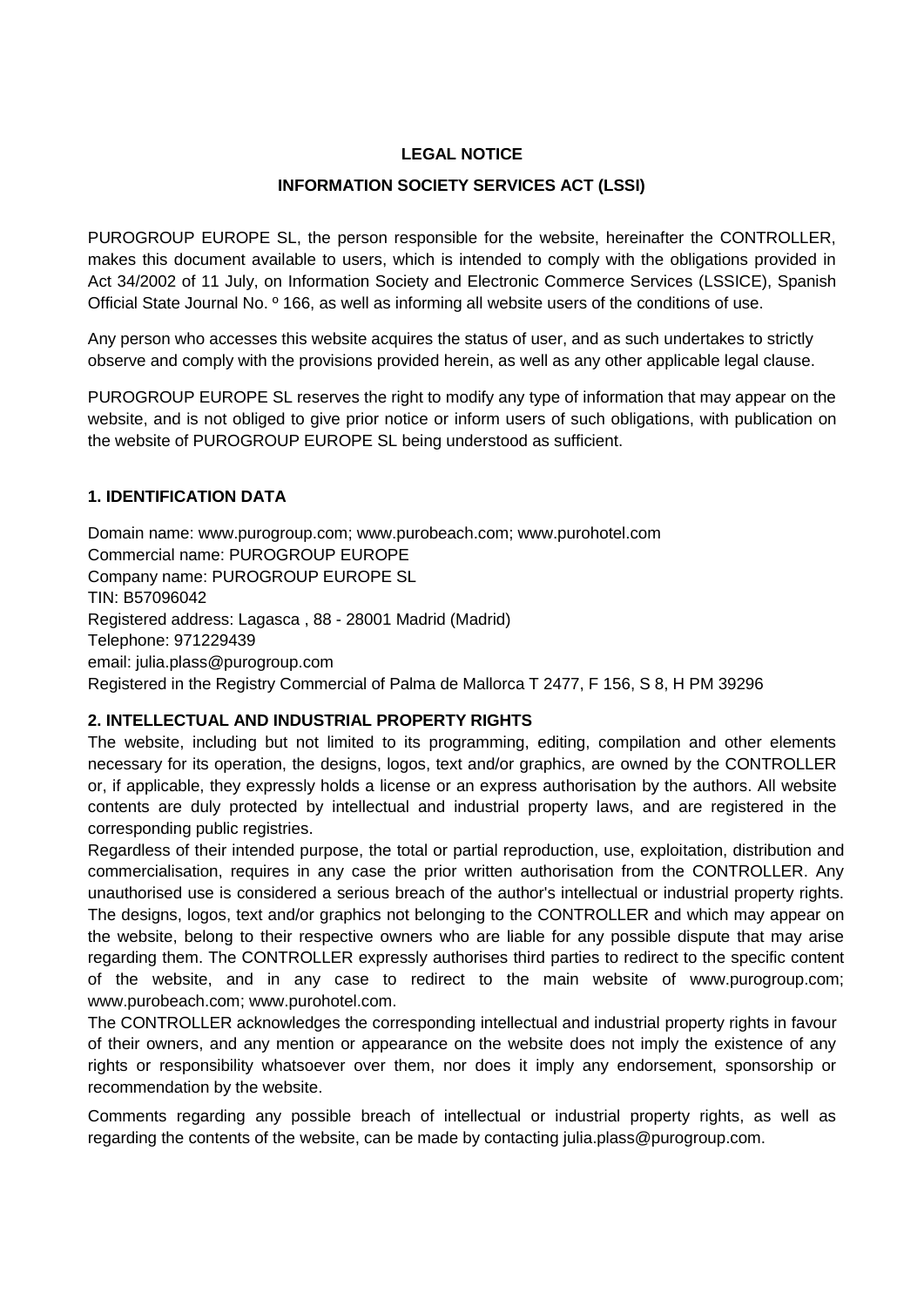# **LEGAL NOTICE**

### **INFORMATION SOCIETY SERVICES ACT (LSSI)**

PUROGROUP EUROPE SL, the person responsible for the website, hereinafter the CONTROLLER, makes this document available to users, which is intended to comply with the obligations provided in Act 34/2002 of 11 July, on Information Society and Electronic Commerce Services (LSSICE), Spanish Official State Journal No. º 166, as well as informing all website users of the conditions of use.

Any person who accesses this website acquires the status of user, and as such undertakes to strictly observe and comply with the provisions provided herein, as well as any other applicable legal clause.

PUROGROUP EUROPE SL reserves the right to modify any type of information that may appear on the website, and is not obliged to give prior notice or inform users of such obligations, with publication on the website of PUROGROUP EUROPE SL being understood as sufficient.

### **1. IDENTIFICATION DATA**

[Domain name: www.purogroup.com; www.purobeach.com; www.purohotel.com](http://www.purohotel.com/) Commercial name: PUROGROUP EUROPE Company name: PUROGROUP EUROPE SL TIN: B57096042 Registered address: Lagasca , 88 - 28001 Madrid (Madrid) Telephone: 971229439 [email: julia.plass@purogroup.com](mailto:julia.plass@purogroup.com) Registered in the Registry Commercial of Palma de Mallorca T 2477, F 156, S 8, H PM 39296

## **2. INTELLECTUAL AND INDUSTRIAL PROPERTY RIGHTS**

The website, including but not limited to its programming, editing, compilation and other elements necessary for its operation, the designs, logos, text and/or graphics, are owned by the CONTROLLER or, if applicable, they expressly holds a license or an express authorisation by the authors. All website contents are duly protected by intellectual and industrial property laws, and are registered in the corresponding public registries.

Regardless of their intended purpose, the total or partial reproduction, use, exploitation, distribution and commercialisation, requires in any case the prior written authorisation from the CONTROLLER. Any unauthorised use is considered a serious breach of the author's intellectual or industrial property rights. The designs, logos, text and/or graphics not belonging to the CONTROLLER and which may appear on the website, belong to their respective owners who are liable for any possible dispute that may arise regarding them. The CONTROLLER expressly authorises third parties to redirect to the specific content of the website, and in any case to redirect to the main website of www.purogroup.com; www.purobeach.com; [www.purohotel.com.](http://www.purohotel.com/)

The CONTROLLER acknowledges the corresponding intellectual and industrial property rights in favour of their owners, and any mention or appearance on the website does not imply the existence of any rights or responsibility whatsoever over them, nor does it imply any endorsement, sponsorship or recommendation by the website.

Comments regarding any possible breach of intellectual or industrial property rights, as well as [regarding the contents of the website, can be made by contacting julia.plass@purogroup.com.](mailto:julia.plass@purogroup.com)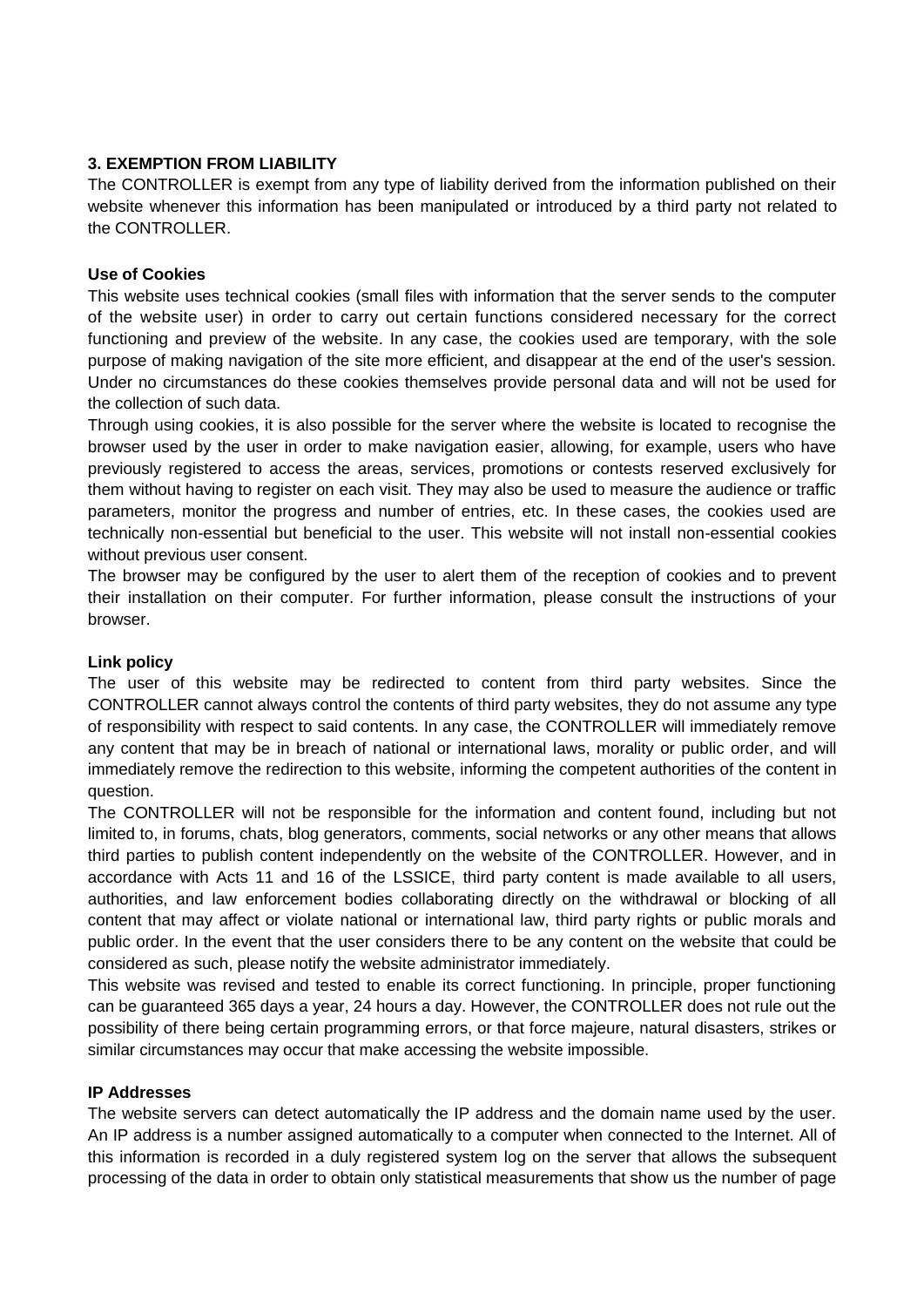## **3. EXEMPTION FROM LIABILITY**

The CONTROLLER is exempt from any type of liability derived from the information published on their website whenever this information has been manipulated or introduced by a third party not related to the CONTROLLER.

### **Use of Cookies**

This website uses technical cookies (small files with information that the server sends to the computer of the website user) in order to carry out certain functions considered necessary for the correct functioning and preview of the website. In any case, the cookies used are temporary, with the sole purpose of making navigation of the site more efficient, and disappear at the end of the user's session. Under no circumstances do these cookies themselves provide personal data and will not be used for the collection of such data.

Through using cookies, it is also possible for the server where the website is located to recognise the browser used by the user in order to make navigation easier, allowing, for example, users who have previously registered to access the areas, services, promotions or contests reserved exclusively for them without having to register on each visit. They may also be used to measure the audience or traffic parameters, monitor the progress and number of entries, etc. In these cases, the cookies used are technically non-essential but beneficial to the user. This website will not install non-essential cookies without previous user consent.

The browser may be configured by the user to alert them of the reception of cookies and to prevent their installation on their computer. For further information, please consult the instructions of your browser.

### **Link policy**

The user of this website may be redirected to content from third party websites. Since the CONTROLLER cannot always control the contents of third party websites, they do not assume any type of responsibility with respect to said contents. In any case, the CONTROLLER will immediately remove any content that may be in breach of national or international laws, morality or public order, and will immediately remove the redirection to this website, informing the competent authorities of the content in question.

The CONTROLLER will not be responsible for the information and content found, including but not limited to, in forums, chats, blog generators, comments, social networks or any other means that allows third parties to publish content independently on the website of the CONTROLLER. However, and in accordance with Acts 11 and 16 of the LSSICE, third party content is made available to all users, authorities, and law enforcement bodies collaborating directly on the withdrawal or blocking of all content that may affect or violate national or international law, third party rights or public morals and public order. In the event that the user considers there to be any content on the website that could be considered as such, please notify the website administrator immediately.

This website was revised and tested to enable its correct functioning. In principle, proper functioning can be guaranteed 365 days a year, 24 hours a day. However, the CONTROLLER does not rule out the possibility of there being certain programming errors, or that force majeure, natural disasters, strikes or similar circumstances may occur that make accessing the website impossible.

#### **IP Addresses**

The website servers can detect automatically the IP address and the domain name used by the user. An IP address is a number assigned automatically to a computer when connected to the Internet. All of this information is recorded in a duly registered system log on the server that allows the subsequent processing of the data in order to obtain only statistical measurements that show us the number of page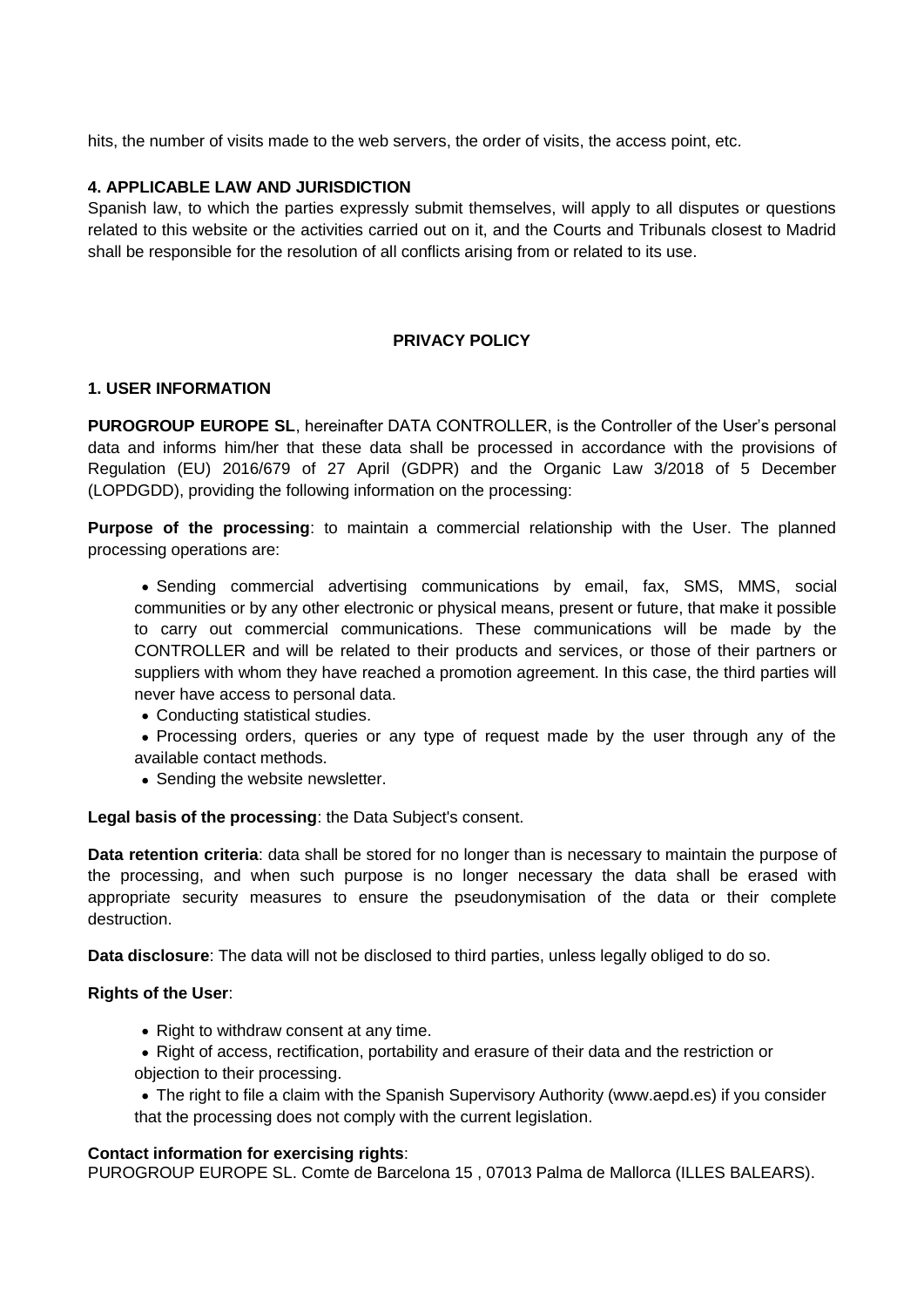hits, the number of visits made to the web servers, the order of visits, the access point, etc.

### **4. APPLICABLE LAW AND JURISDICTION**

Spanish law, to which the parties expressly submit themselves, will apply to all disputes or questions related to this website or the activities carried out on it, and the Courts and Tribunals closest to Madrid shall be responsible for the resolution of all conflicts arising from or related to its use.

### **PRIVACY POLICY**

#### **1. USER INFORMATION**

**PUROGROUP EUROPE SL**, hereinafter DATA CONTROLLER, is the Controller of the User's personal data and informs him/her that these data shall be processed in accordance with the provisions of Regulation (EU) 2016/679 of 27 April (GDPR) and the Organic Law 3/2018 of 5 December (LOPDGDD), providing the following information on the processing:

**Purpose of the processing**: to maintain a commercial relationship with the User. The planned processing operations are:

• Sending commercial advertising communications by email, fax, SMS, MMS, social communities or by any other electronic or physical means, present or future, that make it possible to carry out commercial communications. These communications will be made by the CONTROLLER and will be related to their products and services, or those of their partners or suppliers with whom they have reached a promotion agreement. In this case, the third parties will never have access to personal data.

- Conducting statistical studies.
- Processing orders, queries or any type of request made by the user through any of the available contact methods.
- Sending the website newsletter.

**Legal basis of the processing**: the Data Subject's consent.

**Data retention criteria**: data shall be stored for no longer than is necessary to maintain the purpose of the processing, and when such purpose is no longer necessary the data shall be erased with appropriate security measures to ensure the pseudonymisation of the data or their complete destruction.

**Data disclosure**: The data will not be disclosed to third parties, unless legally obliged to do so.

#### **Rights of the User**:

- Right to withdraw consent at any time.
- Right of access, rectification, portability and erasure of their data and the restriction or objection to their processing.
- The right to file a claim with the Spanish Supervisory Authority (www.aepd.es) if you consider that the processing does not comply with the current legislation.

#### **Contact information for exercising rights**:

PUROGROUP EUROPE SL. [Comte de Barcelona 15 , 07013 Palma de Mallorca \(ILLES BALEARS\).](mailto:julia.plass@purogroup.com)